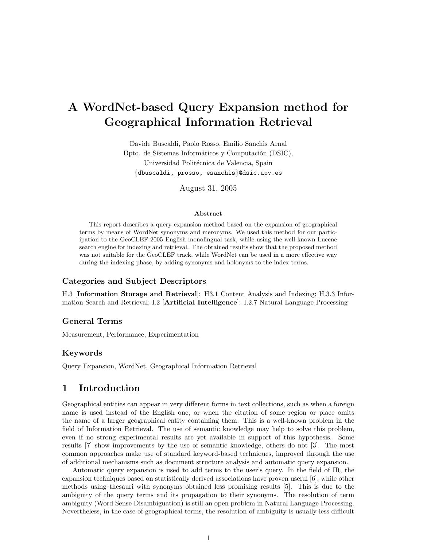# A WordNet-based Query Expansion method for Geographical Information Retrieval

Davide Buscaldi, Paolo Rosso, Emilio Sanchis Arnal Dpto. de Sistemas Informáticos y Computación (DSIC), Universidad Politécnica de Valencia, Spain {dbuscaldi, prosso, esanchis}@dsic.upv.es

August 31, 2005

#### Abstract

This report describes a query expansion method based on the expansion of geographical terms by means of WordNet synonyms and meronyms. We used this method for our participation to the GeoCLEF 2005 English monolingual task, while using the well-known Lucene search engine for indexing and retrieval. The obtained results show that the proposed method was not suitable for the GeoCLEF track, while WordNet can be used in a more effective way during the indexing phase, by adding synonyms and holonyms to the index terms.

### Categories and Subject Descriptors

H.3 [Information Storage and Retrieval]: H3.1 Content Analysis and Indexing; H.3.3 Information Search and Retrieval; I.2 [Artificial Intelligence]: I.2.7 Natural Language Processing

### General Terms

Measurement, Performance, Experimentation

#### Keywords

Query Expansion, WordNet, Geographical Information Retrieval

### 1 Introduction

Geographical entities can appear in very different forms in text collections, such as when a foreign name is used instead of the English one, or when the citation of some region or place omits the name of a larger geographical entity containing them. This is a well-known problem in the field of Information Retrieval. The use of semantic knowledge may help to solve this problem, even if no strong experimental results are yet available in support of this hypothesis. Some results [7] show improvements by the use of semantic knowledge, others do not [3]. The most common approaches make use of standard keyword-based techniques, improved through the use of additional mechanisms such as document structure analysis and automatic query expansion.

Automatic query expansion is used to add terms to the user's query. In the field of IR, the expansion techniques based on statistically derived associations have proven useful [6], while other methods using thesauri with synonyms obtained less promising results [5]. This is due to the ambiguity of the query terms and its propagation to their synonyms. The resolution of term ambiguity (Word Sense Disambiguation) is still an open problem in Natural Language Processing. Nevertheless, in the case of geographical terms, the resolution of ambiguity is usually less difficult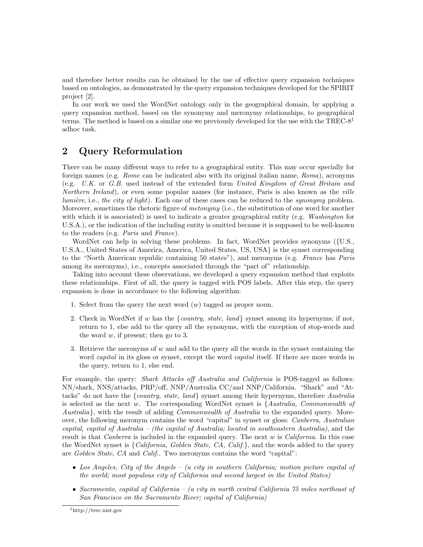and therefore better results can be obtained by the use of effective query expansion techniques based on ontologies, as demonstrated by the query expansion techniques developed for the SPIRIT project [2].

In our work we used the WordNet ontology only in the geographical domain, by applying a query expansion method, based on the synonymy and meronymy relationships, to geographical terms. The method is based on a similar one we previously developed for the use with the  $TREC\text{-}8<sup>1</sup>$ adhoc task.

# 2 Query Reformulation

There can be many different ways to refer to a geographical entity. This may occur specially for foreign names (e.g. *Rome* can be indicated also with its original italian name, *Roma*), acronyms (e.g. U.K. or G.B. used instead of the extended form United Kingdom of Great Britain and Northern Ireland), or even some popular names (for instance, Paris is also known as the *ville* lumière, i.e., the city of light). Each one of these cases can be reduced to the synonymy problem. Moreover, sometimes the rhetoric figure of *metonymy* (i.e., the substitution of one word for another with which it is associated) is used to indicate a greater geographical entity (e.g. Washington for U.S.A.), or the indication of the including entity is omitted because it is supposed to be well-known to the readers (e.g. Paris and France).

WordNet can help in solving these problems. In fact, WordNet provides synonyms ({U.S., U.S.A., United States of America, America, United States, US, USA} is the synset corresponding to the "North American republic containing 50 states"), and meronyms (e.g. France has Paris among its meronyms), i.e., concepts associated through the "part of" relationship.

Taking into account these observations, we developed a query expansion method that exploits these relationships. First of all, the query is tagged with POS labels. After this step, the query expansion is done in accordance to the following algorithm:

- 1. Select from the query the next word  $(w)$  tagged as proper noun.
- 2. Check in WordNet if w has the  $\{country, state, land\}$  synset among its hypernyms; if not, return to 1, else add to the query all the synonyms, with the exception of stop-words and the word  $w$ , if present; then go to 3.
- 3. Retrieve the meronyms of  $w$  and add to the query all the words in the synset containing the word *capital* in its gloss or synset, except the word *capital* itself. If there are more words in the query, return to 1, else end.

For example, the query: *Shark Attacks off Australia and California* is POS-tagged as follows: NN/shark, NNS/attacks, PRP/off, NNP/Australia CC/and NNP/California. "Shark" and "Attacks" do not have the  ${country, state, land}$  synset among their hypernyms, therefore Australia is selected as the next w. The corresponding WordNet synset is  $\{Australian, Commonwealth of$ Australia, with the result of adding *Commonwealth of Australia* to the expanded query. Moreover, the following meronym contains the word "capital" in synset or gloss: *Canberra*, Australian capital, capital of Australia – (the capital of Australia; located in southeastern Australia), and the result is that *Canberra* is included in the expanded query. The next  $w$  is *California*. In this case the WordNet synset is  ${California, Golden State, CA, Calif.}$ , and the words added to the query are Golden State, CA and Calif.. Two meronyms contains the word "capital":

- Los Angeles, City of the Angels (a city in southern California; motion picture capital of the world; most populous city of California and second largest in the United States)
- Sacramento, capital of California (a city in north central California 75 miles northeast of San Francisco on the Sacramento River; capital of California)

<sup>1</sup>http://trec.nist.gov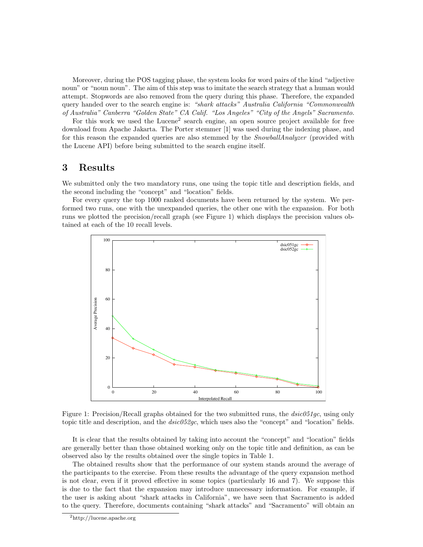Moreover, during the POS tagging phase, the system looks for word pairs of the kind "adjective noun" or "noun noun". The aim of this step was to imitate the search strategy that a human would attempt. Stopwords are also removed from the query during this phase. Therefore, the expanded query handed over to the search engine is: "shark attacks" Australia California "Commonwealth of Australia" Canberra "Golden State" CA Calif. "Los Angeles" "City of the Angels" Sacramento.

For this work we used the Lucene<sup>2</sup> search engine, an open source project available for free download from Apache Jakarta. The Porter stemmer [1] was used during the indexing phase, and for this reason the expanded queries are also stemmed by the *SnowballAnalyzer* (provided with the Lucene API) before being submitted to the search engine itself.

## 3 Results

We submitted only the two mandatory runs, one using the topic title and description fields, and the second including the "concept" and "location" fields.

For every query the top 1000 ranked documents have been returned by the system. We performed two runs, one with the unexpanded queries, the other one with the expansion. For both runs we plotted the precision/recall graph (see Figure 1) which displays the precision values obtained at each of the 10 recall levels.



Figure 1: Precision/Recall graphs obtained for the two submitted runs, the  $disc051qc$ , using only topic title and description, and the  $dsic052gc$ , which uses also the "concept" and "location" fields.

It is clear that the results obtained by taking into account the "concept" and "location" fields are generally better than those obtained working only on the topic title and definition, as can be observed also by the results obtained over the single topics in Table 1.

The obtained results show that the performance of our system stands around the average of the participants to the exercise. From these results the advantage of the query expansion method is not clear, even if it proved effective in some topics (particularly 16 and 7). We suppose this is due to the fact that the expansion may introduce unnecessary information. For example, if the user is asking about "shark attacks in California", we have seen that Sacramento is added to the query. Therefore, documents containing "shark attacks" and "Sacramento" will obtain an

<sup>2</sup>http://lucene.apache.org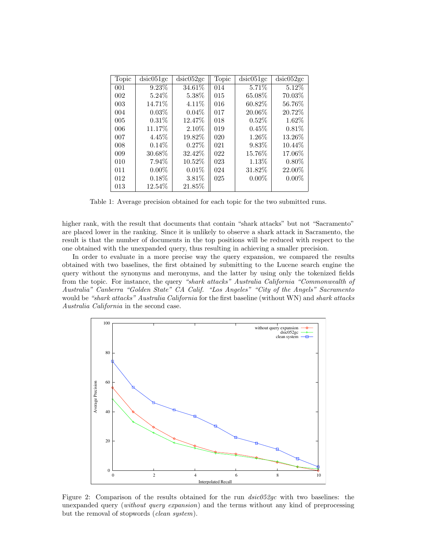| Topic | dsic051gc | dsic052gc | Topic | dsic051gc | dsic052gc |
|-------|-----------|-----------|-------|-----------|-----------|
| 001   | 9.23%     | 34.61%    | 014   | 5.71%     | 5.12%     |
| 002   | $5.24\%$  | 5.38%     | 015   | 65.08%    | 70.03%    |
| 003   | 14.71%    | 4.11%     | 016   | 60.82%    | 56.76%    |
| 004   | $0.03\%$  | 0.04%     | 017   | 20.06%    | 20.72%    |
| 005   | $0.31\%$  | 12.47%    | 018   | $0.52\%$  | 1.62%     |
| 006   | 11.17%    | 2.10\%    | 019   | 0.45%     | 0.81%     |
| 007   | 4.45%     | 19.82%    | 020   | 1.26\%    | 13.26%    |
| 008   | $0.14\%$  | 0.27%     | 021   | 9.83%     | 10.44\%   |
| 009   | 30.68%    | 32.42%    | 022   | 15.76%    | 17.06%    |
| 010   | 7.94%     | 10.52%    | 023   | 1.13%     | $0.80\%$  |
| 011   | $0.00\%$  | 0.01%     | 024   | 31.82%    | 22.00%    |
| 012   | $0.18\%$  | 3.81\%    | 025   | $0.00\%$  | $0.00\%$  |
| 013   | 12.54%    | 21.85%    |       |           |           |

Table 1: Average precision obtained for each topic for the two submitted runs.

higher rank, with the result that documents that contain "shark attacks" but not "Sacramento" are placed lower in the ranking. Since it is unlikely to observe a shark attack in Sacramento, the result is that the number of documents in the top positions will be reduced with respect to the one obtained with the unexpanded query, thus resulting in achieving a smaller precision.

In order to evaluate in a more precise way the query expansion, we compared the results obtained with two baselines, the first obtained by submitting to the Lucene search engine the query without the synonyms and meronyms, and the latter by using only the tokenized fields from the topic. For instance, the query "shark attacks" Australia California "Commonwealth of Australia" Canberra "Golden State" CA Calif. "Los Angeles" "City of the Angels" Sacramento would be "shark attacks" Australia California for the first baseline (without WN) and shark attacks Australia California in the second case.



Figure 2: Comparison of the results obtained for the run dsic052gc with two baselines: the unexpanded query (without query expansion) and the terms without any kind of preprocessing but the removal of stopwords (*clean system*).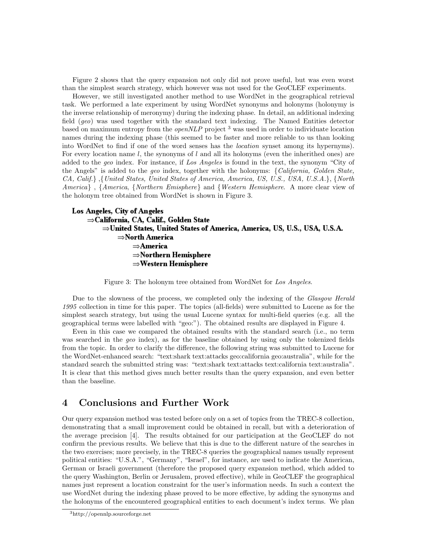Figure 2 shows that the query expansion not only did not prove useful, but was even worst than the simplest search strategy, which however was not used for the GeoCLEF experiments.

However, we still investigated another method to use WordNet in the geographical retrieval task. We performed a late experiment by using WordNet synonyms and holonyms (holonymy is the inverse relationship of meronymy) during the indexing phase. In detail, an additional indexing field (geo) was used together with the standard text indexing. The Named Entities detector based on maximum entropy from the *openNLP* project  $3$  was used in order to individuate location names during the indexing phase (this seemed to be faster and more reliable to us than looking into WordNet to find if one of the word senses has the location synset among its hypernyms). For every location name l, the synonyms of l and all its holonyms (even the inherithed ones) are added to the geo index. For instance, if Los Angeles is found in the text, the synonym "City of the Angels" is added to the geo index, together with the holonyms:  $\{California, Golden State,$ CA, Calif.} ,{United States, United States of America, America, US, U.S., USA, U.S.A.}, {North America<sub>}</sub>, {America, {Northern Emisphere} and {Western Hemisphere. A more clear view of the holonym tree obtained from WordNet is shown in Figure 3.

```
Los Angeles, City of Angeles
\RightarrowCalifornia, CA, Calif., Golden State
      \RightarrowUnited States, United States of America, America, US, U.S., USA, U.S.A.
           \RightarrowNorth America
                 \RightarrowAmerica
                 \RightarrowNorthern Hemisphere
                 \RightarrowWestern Hemisphere
```
Figure 3: The holonym tree obtained from WordNet for Los Angeles.

Due to the slowness of the process, we completed only the indexing of the *Glasgow Herald* 1995 collection in time for this paper. The topics (all-fields) were submitted to Lucene as for the simplest search strategy, but using the usual Lucene syntax for multi-field queries (e.g. all the geographical terms were labelled with "geo:"). The obtained results are displayed in Figure 4.

Even in this case we compared the obtained results with the standard search (i.e., no term was searched in the geo index), as for the baseline obtained by using only the tokenized fields from the topic. In order to clarify the difference, the following string was submitted to Lucene for the WordNet-enhanced search: "text:shark text:attacks geo:california geo:australia", while for the standard search the submitted string was: "text:shark text:attacks text:california text:australia". It is clear that this method gives much better results than the query expansion, and even better than the baseline.

# 4 Conclusions and Further Work

Our query expansion method was tested before only on a set of topics from the TREC-8 collection, demonstrating that a small improvement could be obtained in recall, but with a deterioration of the average precision [4]. The results obtained for our participation at the GeoCLEF do not confirm the previous results. We believe that this is due to the different nature of the searches in the two exercises; more precisely, in the TREC-8 queries the geographical names usually represent political entities: "U.S.A.", "Germany", "Israel", for instance, are used to indicate the American, German or Israeli government (therefore the proposed query expansion method, which added to the query Washington, Berlin or Jerusalem, proved effective), while in GeoCLEF the geographical names just represent a location constraint for the user's information needs. In such a context the use WordNet during the indexing phase proved to be more effective, by adding the synonyms and the holonyms of the encountered geographical entities to each document's index terms. We plan

<sup>3</sup>http://opennlp.sourceforge.net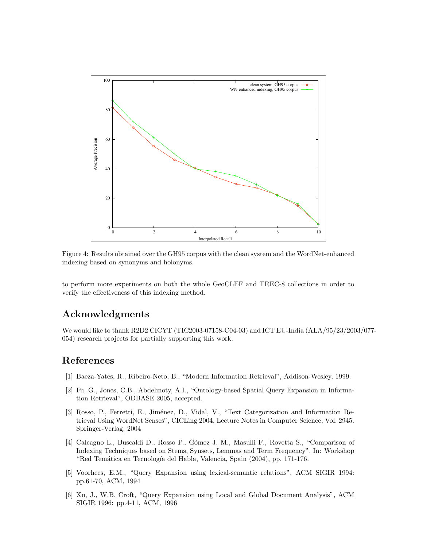

Figure 4: Results obtained over the GH95 corpus with the clean system and the WordNet-enhanced indexing based on synonyms and holonyms.

to perform more experiments on both the whole GeoCLEF and TREC-8 collections in order to verify the effectiveness of this indexing method.

# Acknowledgments

We would like to thank R2D2 CICYT (TIC2003-07158-C04-03) and ICT EU-India (ALA/95/23/2003/077- 054) research projects for partially supporting this work.

### References

- [1] Baeza-Yates, R., Ribeiro-Neto, B., "Modern Information Retrieval", Addison-Wesley, 1999.
- [2] Fu, G., Jones, C.B., Abdelmoty, A.I., "Ontology-based Spatial Query Expansion in Information Retrieval", ODBASE 2005, accepted.
- [3] Rosso, P., Ferretti, E., Jiménez, D., Vidal, V., "Text Categorization and Information Retrieval Using WordNet Senses", CICLing 2004, Lecture Notes in Computer Science, Vol. 2945. Springer-Verlag, 2004
- [4] Calcagno L., Buscaldi D., Rosso P., G´omez J. M., Masulli F., Rovetta S., "Comparison of Indexing Techniques based on Stems, Synsets, Lemmas and Term Frequency". In: Workshop "Red Temática en Tecnología del Habla, Valencia, Spain (2004), pp. 171-176.
- [5] Voorhees, E.M., "Query Expansion using lexical-semantic relations", ACM SIGIR 1994: pp.61-70, ACM, 1994
- [6] Xu, J., W.B. Croft, "Query Expansion using Local and Global Document Analysis", ACM SIGIR 1996: pp.4-11, ACM, 1996